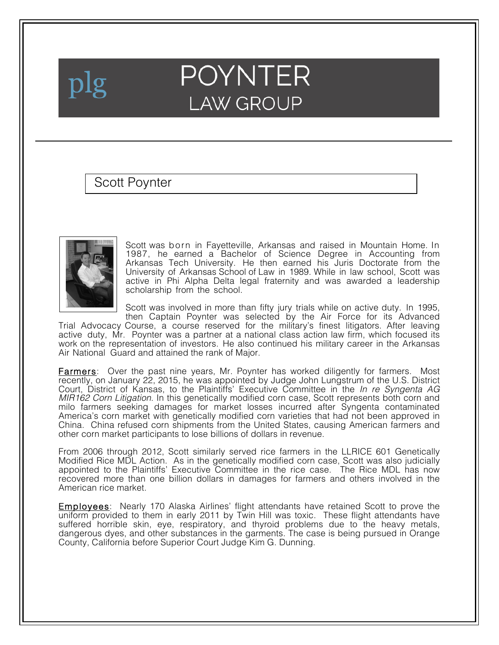

## **POYNTER LAW GROUP**

## Scott Poynter



Scott was born in Fayetteville, Arkansas and raised in Mountain Home. In 1987, he earned a Bachelor of Science Degree in Accounting from Arkansas Tech University. He then earned his Juris Doctorate from the University of Arkansas School of Law in 1989. While in law school, Scott was active in Phi Alpha Delta legal fraternity and was awarded a leadership scholarship from the school.

Scott was involved in more than fifty jury trials while on active duty. In 1995,

then Captain Poynter was selected by the Air Force for its Advanced Trial Advocacy Course, a course reserved for the military's finest litigators. After leaving active duty, Mr. Poynter was a partner at a national class action law firm, which focused its work on the representation of investors. He also continued his military career in the Arkansas Air National Guard and attained the rank of Major.

**Farmers:** Over the past nine years, Mr. Poynter has worked diligently for farmers. Most recently, on January 22, 2015, he was appointed by Judge John Lungstrum of the U.S. District Court, District of Kansas, to the Plaintiffs' Executive Committee in the *In re Syngenta AG MIR162 Corn Litigation*. In this genetically modified corn case, Scott represents both corn and milo farmers seeking damages for market losses incurred after Syngenta contaminated America's corn market with genetically modified corn varieties that had not been approved in China. China refused corn shipments from the United States, causing American farmers and other corn market participants to lose billions of dollars in revenue.

From 2006 through 2012, Scott similarly served rice farmers in the LLRICE 601 Genetically Modified Rice MDL Action. As in the genetically modified corn case, Scott was also judicially appointed to the Plaintiffs' Executive Committee in the rice case. The Rice MDL has now recovered more than one billion dollars in damages for farmers and others involved in the American rice market.

Employees: Nearly 170 Alaska Airlines' flight attendants have retained Scott to prove the uniform provided to them in early 2011 by Twin Hill was toxic. These flight attendants have suffered horrible skin, eye, respiratory, and thyroid problems due to the heavy metals, dangerous dyes, and other substances in the garments. The case is being pursued in Orange County, California before Superior Court Judge Kim G. Dunning.